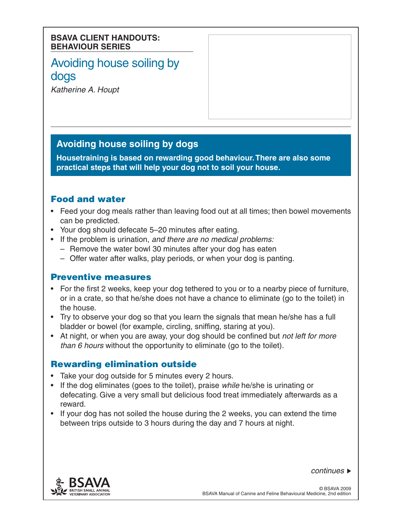#### **BSAVA CLIENT HANDOUTS: BEHAVIOUR SERIES**

# Avoiding house soiling by dogs

*Katherine A. Houpt*

# **Avoiding house soiling by dogs**

**Housetraining is based on rewarding good behaviour. There are also some practical steps that will help your dog not to soil your house.**

## Food and water

- Feed your dog meals rather than leaving food out at all times; then bowel movements can be predicted.
- Your dog should defecate 5–20 minutes after eating.
- • If the problem is urination, *and there are no medical problems:*
	- $-$  Remove the water bowl 30 minutes after your dog has eaten
	- Offer water after walks, play periods, or when your dog is panting.

## Preventive measures

- For the first 2 weeks, keep your dog tethered to you or to a nearby piece of furniture, or in a crate, so that he/she does not have a chance to eliminate (go to the toilet) in the house.
- Try to observe your dog so that you learn the signals that mean he/she has a full bladder or bowel (for example, circling, sniffing, staring at you).
- • At night, or when you are away, your dog should be confined but *not left for more than 6 hours* without the opportunity to eliminate (go to the toilet).

## Rewarding elimination outside

- Take your dog outside for 5 minutes every 2 hours.
- • If the dog eliminates (goes to the toilet), praise *while* he/she is urinating or defecating. Give a very small but delicious food treat immediately afterwards as a reward.
- If your dog has not soiled the house during the 2 weeks, you can extend the time between trips outside to 3 hours during the day and 7 hours at night.



*continues*